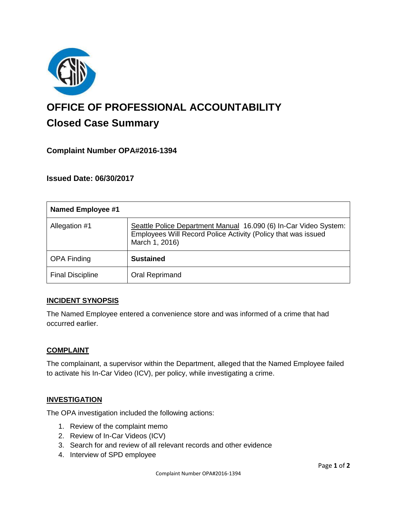

# **OFFICE OF PROFESSIONAL ACCOUNTABILITY Closed Case Summary**

## **Complaint Number OPA#2016-1394**

**Issued Date: 06/30/2017**

| <b>Named Employee #1</b> |                                                                                                                                                     |
|--------------------------|-----------------------------------------------------------------------------------------------------------------------------------------------------|
| Allegation #1            | Seattle Police Department Manual 16.090 (6) In-Car Video System:<br>Employees Will Record Police Activity (Policy that was issued<br>March 1, 2016) |
| <b>OPA Finding</b>       | <b>Sustained</b>                                                                                                                                    |
| <b>Final Discipline</b>  | Oral Reprimand                                                                                                                                      |

#### **INCIDENT SYNOPSIS**

The Named Employee entered a convenience store and was informed of a crime that had occurred earlier.

#### **COMPLAINT**

The complainant, a supervisor within the Department, alleged that the Named Employee failed to activate his In-Car Video (ICV), per policy, while investigating a crime.

#### **INVESTIGATION**

The OPA investigation included the following actions:

- 1. Review of the complaint memo
- 2. Review of In-Car Videos (ICV)
- 3. Search for and review of all relevant records and other evidence
- 4. Interview of SPD employee